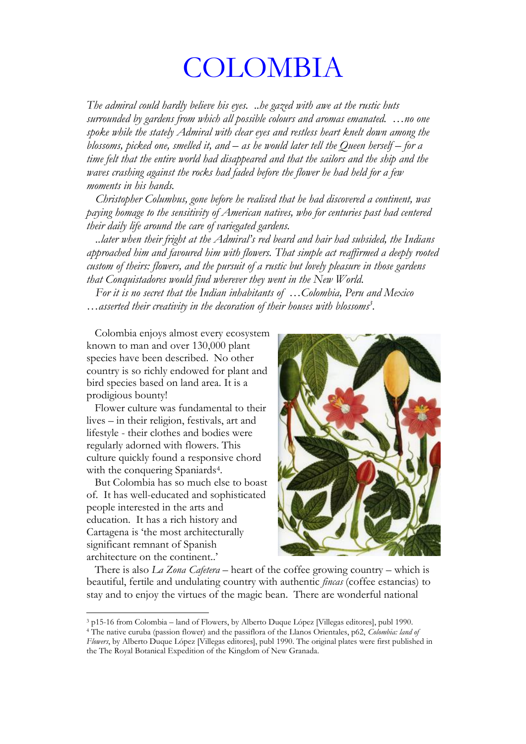## COLOMBIA

*The admiral could hardly believe his eyes. ..he gazed with awe at the rustic huts surrounded by gardens from which all possible colours and aromas emanated. ... no one spoke while the stately Admiral with clear eyes and restless heart knelt down among the blossoms, picked one, smelled it, and – as he would later tell the Queen herself – for a time felt that the entire world had disappeared and that the sailors and the ship and the waves crashing against the rocks had faded before the flower he had held for a few moments in his hands.*

 *Christopher Columbus, gone before he realised that he had discovered a continent, was paying homage to the sensitivity of American natives, who for centuries past had centered their daily life around the care of variegated gardens.*

 *..later when their fright at the \$GPLUDO·V red beard and hair had subsided, the Indians approached him and favoured him with flowers. That simple act reaffirmed a deeply rooted custom of theirs: flowers, and the pursuit of a rustic but lovely pleasure in those gardens that Conquistadores would find wherever they went in the New World.*

*For it is no secret that the Indian inhabitants of ...Colombia, Peru and Mexico* ... asserted their creativity in the decoration of their houses with blossoms<sup>3</sup>.

 Colombia enjoys almost every ecosystem known to man and over 130,000 plant species have been described. No other country is so richly endowed for plant and bird species based on land area. It is a prodigious bounty!

 Flower culture was fundamental to their lives – in their religion, festivals, art and lifestyle - their clothes and bodies were regularly adorned with flowers. This culture quickly found a responsive chord with the conquering Spaniards<sup>4</sup>.

 But Colombia has so much else to boast of. It has well-educated and sophisticated people interested in the arts and education. It has a rich history and Cartagena is 'the most architecturally significant remnant of Spanish architecture on the continent..<sup>3</sup>

!!!!!!!!!!!!!!!!!!!!!!!!!!!!!!!!!!!!!!!!!!!!!!!!!!!!!!!!!!



There is also *La Zona Cafetera* – heart of the coffee growing country – which is beautiful, fertile and undulating country with authentic *fincas* (coffee estancias) to stay and to enjoy the virtues of the magic bean. There are wonderful national

<sup>4</sup> The native curuba (passion flower) and the passiflora of the Llanos Orientales, p62, *Colombia: land of Flowers*, by Alberto Duque López [Villegas editores], publ 1990. The original plates were first published in the The Royal Botanical Expedition of the Kingdom of New Granada.

 $3$  p15-16 from Colombia – land of Flowers, by Alberto Duque López [Villegas editores], publ 1990.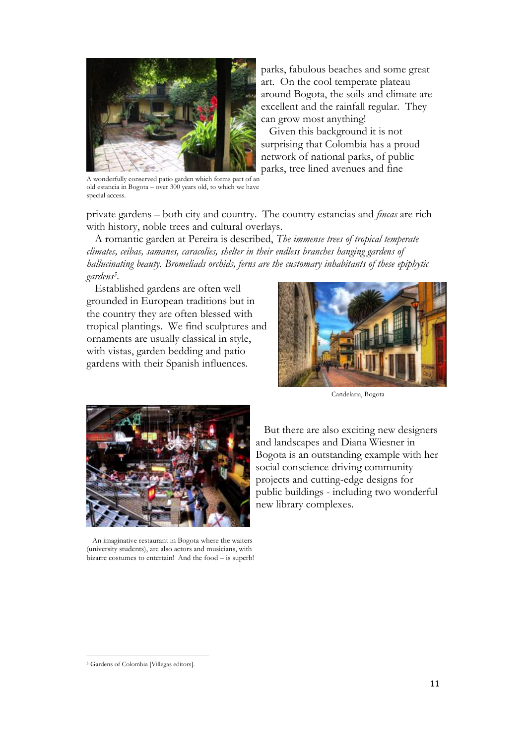

A wonderfully conserved patio garden which forms part of an old estancia in Bogota - over 300 years old, to which we have special access.

parks, fabulous beaches and some great art. On the cool temperate plateau around Bogota, the soils and climate are excellent and the rainfall regular. They can grow most anything!

 Given this background it is not surprising that Colombia has a proud network of national parks, of public parks, tree lined avenues and fine

private gardens – both city and country. The country estancias and *fincas* are rich with history, noble trees and cultural overlays.

 A romantic garden at Pereira is described, *The immense trees of tropical temperate climates, ceibas, samanes, caracolies, shelter in their endless branches hanging gardens of hallucinating beauty. Bromeliads orchids, ferns are the customary inhabitants of these epiphytic gardens5.*

Established gardens are often well grounded in European traditions but in the country they are often blessed with tropical plantings. We find sculptures and ornaments are usually classical in style, with vistas, garden bedding and patio gardens with their Spanish influences.



Candelaria, Bogota



 An imaginative restaurant in Bogota where the waiters (university students), are also actors and musicians, with bizarre costumes to entertain! And the food  $-$  is superb!

 But there are also exciting new designers and landscapes and Diana Wiesner in Bogota is an outstanding example with her social conscience driving community projects and cutting-edge designs for public buildings - including two wonderful new library complexes.

<sup>!!!!!!!!!!!!!!!!!!!!!!!!!!!!!!!!!!!!!!!!!!!!!!!!!!!!!!!!!!</sup> <sup>5</sup> Gardens of Colombia [Villegas editors].